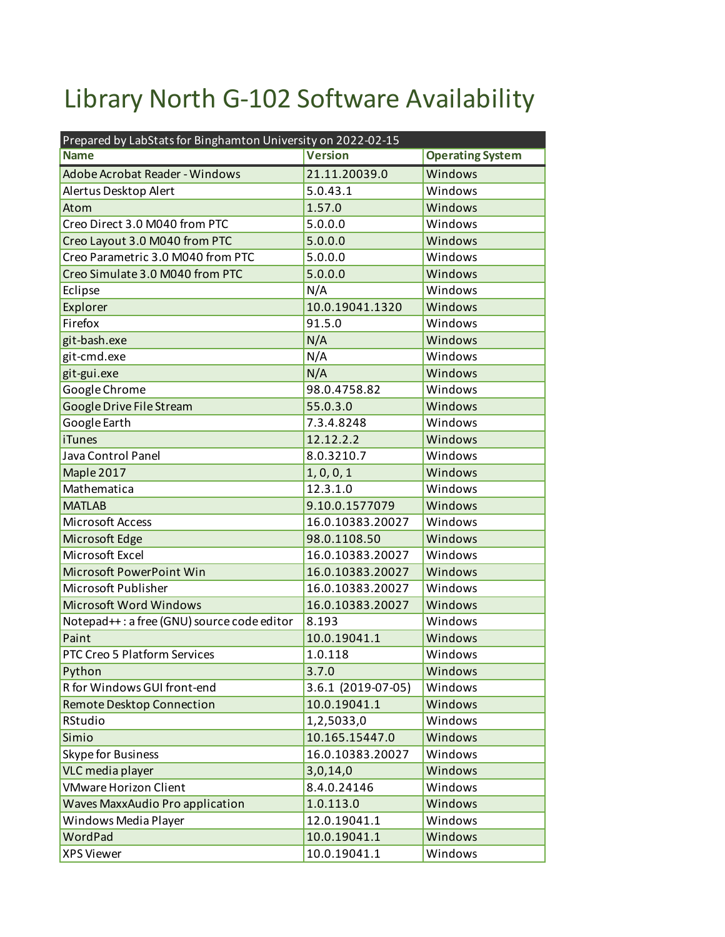## Library North G-102 Software Availability

| Prepared by LabStats for Binghamton University on 2022-02-15 |                    |                         |  |
|--------------------------------------------------------------|--------------------|-------------------------|--|
| <b>Name</b>                                                  | <b>Version</b>     | <b>Operating System</b> |  |
| Adobe Acrobat Reader - Windows                               | 21.11.20039.0      | Windows                 |  |
| Alertus Desktop Alert                                        | 5.0.43.1           | Windows                 |  |
| Atom                                                         | 1.57.0             | Windows                 |  |
| Creo Direct 3.0 M040 from PTC                                | 5.0.0.0            | Windows                 |  |
| Creo Layout 3.0 M040 from PTC                                | 5.0.0.0            | Windows                 |  |
| Creo Parametric 3.0 M040 from PTC                            | 5.0.0.0            | Windows                 |  |
| Creo Simulate 3.0 M040 from PTC                              | 5.0.0.0            | Windows                 |  |
| Eclipse                                                      | N/A                | Windows                 |  |
| Explorer                                                     | 10.0.19041.1320    | Windows                 |  |
| Firefox                                                      | 91.5.0             | Windows                 |  |
| git-bash.exe                                                 | N/A                | Windows                 |  |
| git-cmd.exe                                                  | N/A                | Windows                 |  |
| git-gui.exe                                                  | N/A                | Windows                 |  |
| Google Chrome                                                | 98.0.4758.82       | Windows                 |  |
| Google Drive File Stream                                     | 55.0.3.0           | Windows                 |  |
| Google Earth                                                 | 7.3.4.8248         | Windows                 |  |
| <b>iTunes</b>                                                | 12.12.2.2          | Windows                 |  |
| Java Control Panel                                           | 8.0.3210.7         | Windows                 |  |
| Maple 2017                                                   | 1, 0, 0, 1         | Windows                 |  |
| Mathematica                                                  | 12.3.1.0           | Windows                 |  |
| <b>MATLAB</b>                                                | 9.10.0.1577079     | Windows                 |  |
| Microsoft Access                                             | 16.0.10383.20027   | Windows                 |  |
| Microsoft Edge                                               | 98.0.1108.50       | Windows                 |  |
| Microsoft Excel                                              | 16.0.10383.20027   | Windows                 |  |
| Microsoft PowerPoint Win                                     | 16.0.10383.20027   | Windows                 |  |
| Microsoft Publisher                                          | 16.0.10383.20027   | Windows                 |  |
| Microsoft Word Windows                                       | 16.0.10383.20027   | Windows                 |  |
| Notepad++: a free (GNU) source code editor                   | 8.193              | Windows                 |  |
| Paint                                                        | 10.0.19041.1       | Windows                 |  |
| PTC Creo 5 Platform Services                                 | 1.0.118            | Windows                 |  |
| Python                                                       | 3.7.0              | Windows                 |  |
| R for Windows GUI front-end                                  | 3.6.1 (2019-07-05) | Windows                 |  |
| Remote Desktop Connection                                    | 10.0.19041.1       | Windows                 |  |
| RStudio                                                      | 1,2,5033,0         | Windows                 |  |
| Simio                                                        | 10.165.15447.0     | Windows                 |  |
| Skype for Business                                           | 16.0.10383.20027   | Windows                 |  |
| VLC media player                                             | 3,0,14,0           | Windows                 |  |
| <b>VMware Horizon Client</b>                                 | 8.4.0.24146        | Windows                 |  |
| <b>Waves MaxxAudio Pro application</b>                       | 1.0.113.0          | Windows                 |  |
| Windows Media Player                                         | 12.0.19041.1       | Windows                 |  |
| WordPad                                                      | 10.0.19041.1       | Windows                 |  |
| <b>XPS Viewer</b>                                            | 10.0.19041.1       | Windows                 |  |